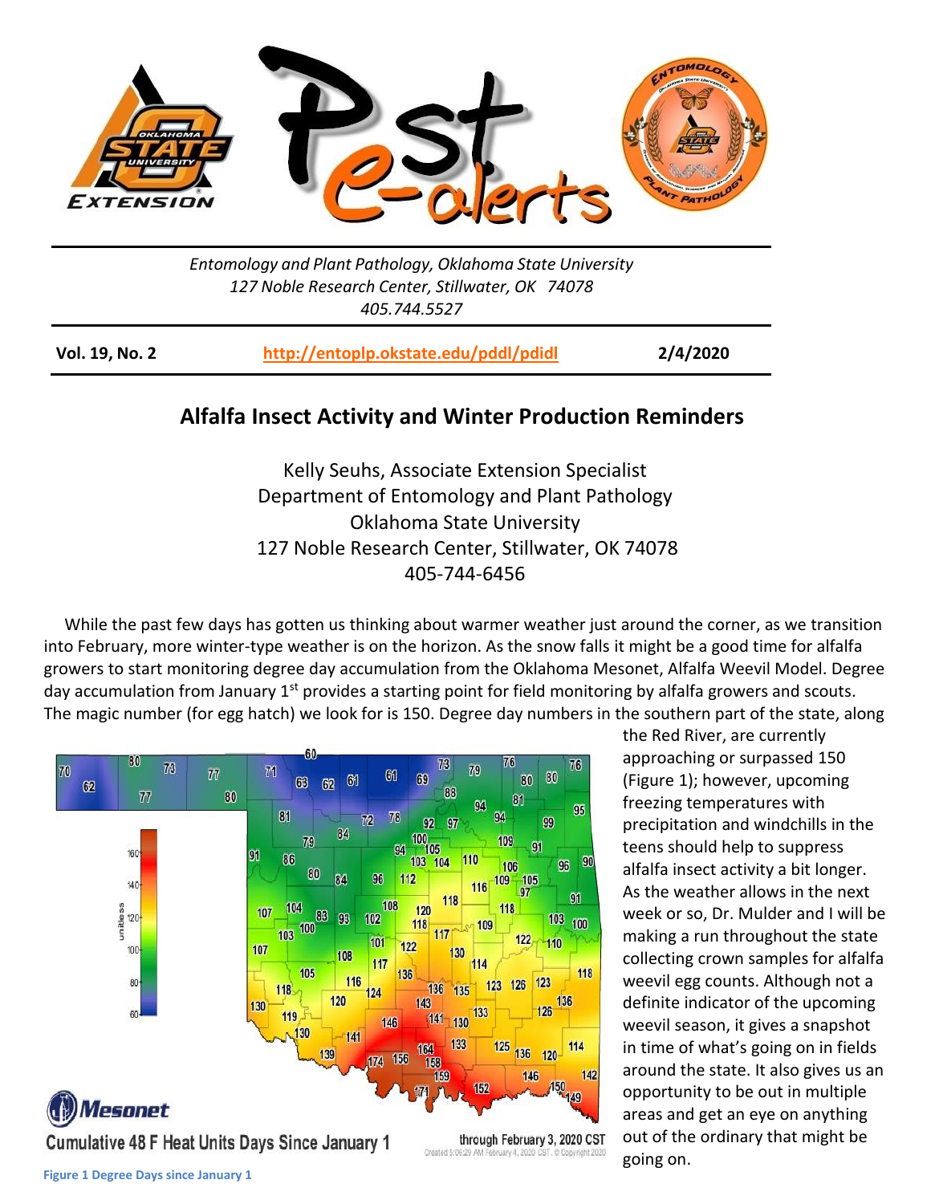

*Entomology and Plant Pathology, Oklahoma State University 127 Noble Research Center, Stillwater, OK 74078 405.744.5527*

**Vol. 19, No. 2 <http://entoplp.okstate.edu/pddl/pdidl> 2/4/2020**

## **Alfalfa Insect Activity and Winter Production Reminders**

Kelly Seuhs, Associate Extension Specialist Department of Entomology and Plant Pathology Oklahoma State University 127 Noble Research Center, Stillwater, OK 74078 405-744-6456

 While the past few days has gotten us thinking about warmer weather just around the corner, as we transition into February, more winter-type weather is on the horizon. As the snow falls it might be a good time for alfalfa growers to start monitoring degree day accumulation from the Oklahoma Mesonet, Alfalfa Weevil Model. Degree day accumulation from January  $1<sup>st</sup>$  provides a starting point for field monitoring by alfalfa growers and scouts. The magic number (for egg hatch) we look for is 150. Degree day numbers in the southern part of the state, along



the Red River, are currently approaching or surpassed 150 (Figure 1); however, upcoming freezing temperatures with precipitation and windchills in the teens should help to suppress alfalfa insect activity a bit longer. As the weather allows in the next week or so, Dr. Mulder and I will be making a run throughout the state collecting crown samples for alfalfa weevil egg counts. Although not a definite indicator of the upcoming weevil season, it gives a snapshot in time of what's going on in fields around the state. It also gives us an opportunity to be out in multiple areas and get an eye on anything out of the ordinary that might be going on.